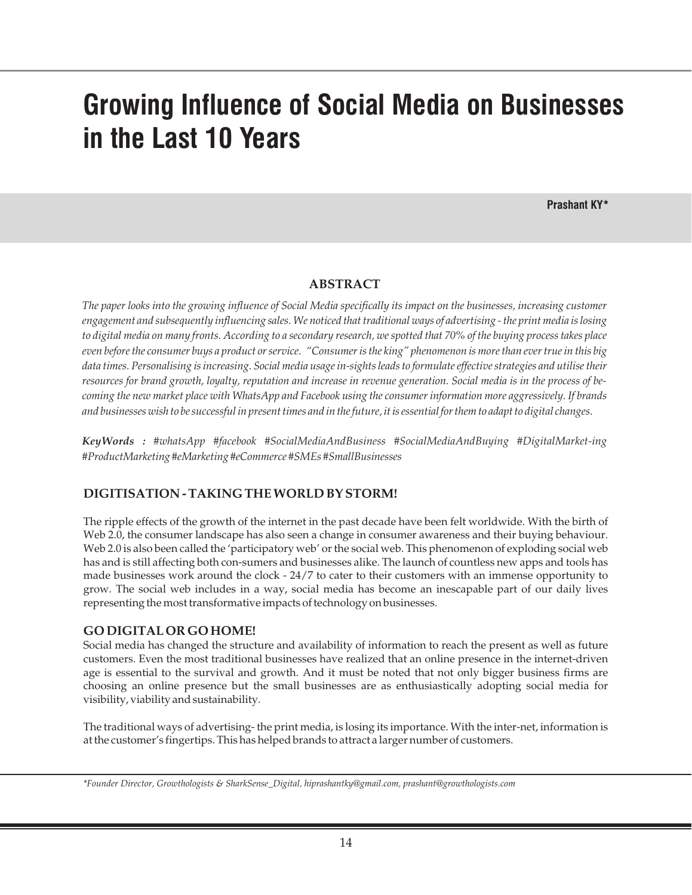# **Growing Influence of Social Media on Businesses in the Last 10 Years**

**Prashant KY\***

### **ABSTRACT**

*The paper looks into the growing influence of Social Media specifically its impact on the businesses, increasing customer engagement and subsequently influencing sales. We noticed that traditional ways of advertising - the print media is losing to digital media on many fronts. According to a secondary research, we spotted that 70% of the buying process takes place even before the consumer buys a product or service. "Consumer is the king" phenomenon is more than ever true in this big data times. Personalising is increasing. Social media usage in-sights leads to formulate effective strategies and utilise their resources for brand growth, loyalty, reputation and increase in revenue generation. Social media is in the process of becoming the new market place with WhatsApp and Facebook using the consumer information more aggressively. If brands and businesses wish to be successful in present times and in the future, it is essential for them to adapt to digital changes.*

*KeyWords : #whatsApp #facebook #SocialMediaAndBusiness #SocialMediaAndBuying #DigitalMarket-ing #ProductMarketing #eMarketing #eCommerce #SMEs #SmallBusinesses*

### **DIGITISATION - TAKING THE WORLD BY STORM!**

The ripple effects of the growth of the internet in the past decade have been felt worldwide. With the birth of Web 2.0, the consumer landscape has also seen a change in consumer awareness and their buying behaviour. Web 2.0 is also been called the 'participatory web' or the social web. This phenomenon of exploding social web has and is still affecting both con-sumers and businesses alike. The launch of countless new apps and tools has made businesses work around the clock - 24/7 to cater to their customers with an immense opportunity to grow. The social web includes in a way, social media has become an inescapable part of our daily lives representing the most transformative impacts of technology on businesses.

## **GO DIGITAL OR GO HOME!**

Social media has changed the structure and availability of information to reach the present as well as future customers. Even the most traditional businesses have realized that an online presence in the internet-driven age is essential to the survival and growth. And it must be noted that not only bigger business firms are choosing an online presence but the small businesses are as enthusiastically adopting social media for visibility, viability and sustainability.

The traditional ways of advertising- the print media, is losing its importance. With the inter-net, information is at the customer's fingertips. This has helped brands to attract a larger number of customers.

*<sup>\*</sup>Founder Director, Growthologists & SharkSense\_Digital, hiprashantky@gmail.com, prashant@growthologists.com*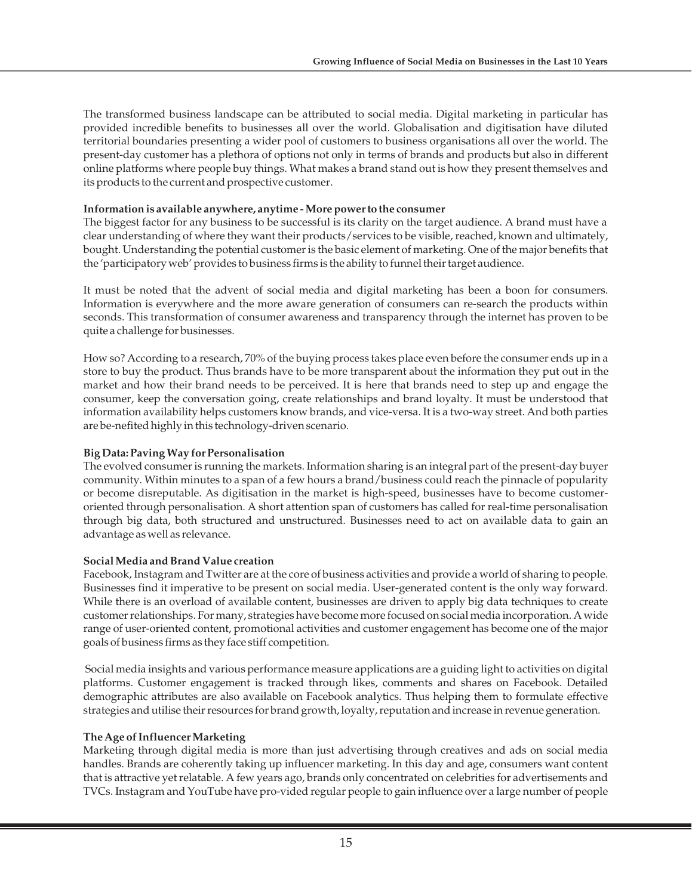The transformed business landscape can be attributed to social media. Digital marketing in particular has provided incredible benefits to businesses all over the world. Globalisation and digitisation have diluted territorial boundaries presenting a wider pool of customers to business organisations all over the world. The present-day customer has a plethora of options not only in terms of brands and products but also in different online platforms where people buy things. What makes a brand stand out is how they present themselves and its products to the current and prospective customer.

#### **Information is available anywhere, anytime - More power to the consumer**

The biggest factor for any business to be successful is its clarity on the target audience. A brand must have a clear understanding of where they want their products/services to be visible, reached, known and ultimately, bought. Understanding the potential customer is the basic element of marketing. One of the major benefits that the 'participatory web' provides to business firms is the ability to funnel their target audience.

It must be noted that the advent of social media and digital marketing has been a boon for consumers. Information is everywhere and the more aware generation of consumers can re-search the products within seconds. This transformation of consumer awareness and transparency through the internet has proven to be quite a challenge for businesses.

How so? According to a research, 70% of the buying process takes place even before the consumer ends up in a store to buy the product. Thus brands have to be more transparent about the information they put out in the market and how their brand needs to be perceived. It is here that brands need to step up and engage the consumer, keep the conversation going, create relationships and brand loyalty. It must be understood that information availability helps customers know brands, and vice-versa. It is a two-way street. And both parties are be-nefited highly in this technology-driven scenario.

### **Big Data: Paving Way for Personalisation**

The evolved consumer is running the markets. Information sharing is an integral part of the present-day buyer community. Within minutes to a span of a few hours a brand/business could reach the pinnacle of popularity or become disreputable. As digitisation in the market is high-speed, businesses have to become customeroriented through personalisation. A short attention span of customers has called for real-time personalisation through big data, both structured and unstructured. Businesses need to act on available data to gain an advantage as well as relevance.

### **Social Media and Brand Value creation**

Facebook, Instagram and Twitter are at the core of business activities and provide a world of sharing to people. Businesses find it imperative to be present on social media. User-generated content is the only way forward. While there is an overload of available content, businesses are driven to apply big data techniques to create customer relationships. For many, strategies have become more focused on social media incorporation. A wide range of user-oriented content, promotional activities and customer engagement has become one of the major goals of business firms as they face stiff competition.

Social media insights and various performance measure applications are a guiding light to activities on digital platforms. Customer engagement is tracked through likes, comments and shares on Facebook. Detailed demographic attributes are also available on Facebook analytics. Thus helping them to formulate effective strategies and utilise their resources for brand growth, loyalty, reputation and increase in revenue generation.

### **The Age of Influencer Marketing**

Marketing through digital media is more than just advertising through creatives and ads on social media handles. Brands are coherently taking up influencer marketing. In this day and age, consumers want content that is attractive yet relatable. A few years ago, brands only concentrated on celebrities for advertisements and TVCs. Instagram and YouTube have pro-vided regular people to gain influence over a large number of people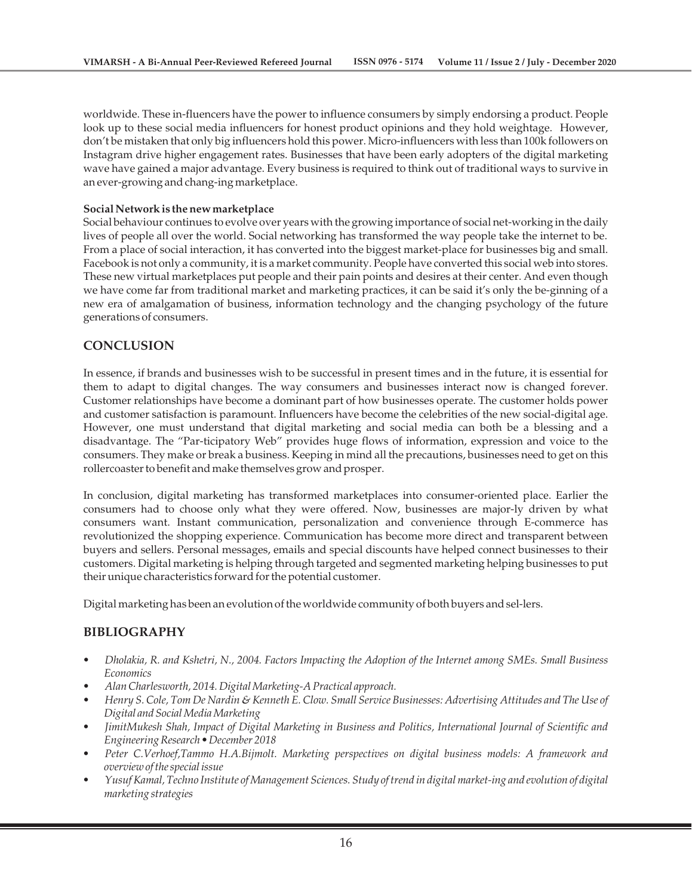worldwide. These in-fluencers have the power to influence consumers by simply endorsing a product. People look up to these social media influencers for honest product opinions and they hold weightage. However, don't be mistaken that only big influencers hold this power. Micro-influencers with less than 100k followers on Instagram drive higher engagement rates. Businesses that have been early adopters of the digital marketing wave have gained a major advantage. Every business is required to think out of traditional ways to survive in an ever-growing and chang-ing marketplace.

#### **Social Network is the new marketplace**

Social behaviour continues to evolve over years with the growing importance of social net-working in the daily lives of people all over the world. Social networking has transformed the way people take the internet to be. From a place of social interaction, it has converted into the biggest market-place for businesses big and small. Facebook is not only a community, it is a market community. People have converted this social web into stores. These new virtual marketplaces put people and their pain points and desires at their center. And even though we have come far from traditional market and marketing practices, it can be said it's only the be-ginning of a new era of amalgamation of business, information technology and the changing psychology of the future generations of consumers.

## **CONCLUSION**

In essence, if brands and businesses wish to be successful in present times and in the future, it is essential for them to adapt to digital changes. The way consumers and businesses interact now is changed forever. Customer relationships have become a dominant part of how businesses operate. The customer holds power and customer satisfaction is paramount. Influencers have become the celebrities of the new social-digital age. However, one must understand that digital marketing and social media can both be a blessing and a disadvantage. The "Par-ticipatory Web" provides huge flows of information, expression and voice to the consumers. They make or break a business. Keeping in mind all the precautions, businesses need to get on this rollercoaster to benefit and make themselves grow and prosper.

In conclusion, digital marketing has transformed marketplaces into consumer-oriented place. Earlier the consumers had to choose only what they were offered. Now, businesses are major-ly driven by what consumers want. Instant communication, personalization and convenience through E-commerce has revolutionized the shopping experience. Communication has become more direct and transparent between buyers and sellers. Personal messages, emails and special discounts have helped connect businesses to their customers. Digital marketing is helping through targeted and segmented marketing helping businesses to put their unique characteristics forward for the potential customer.

Digital marketing has been an evolution of the worldwide community of both buyers and sel-lers.

## **BIBLIOGRAPHY**

- *Dholakia, R. and Kshetri, N., 2004. Factors Impacting the Adoption of the Internet among SMEs. Small Business Economics*
- *Alan Charlesworth, 2014. Digital Marketing-A Practical approach.*
- *Henry S. Cole, Tom De Nardin & Kenneth E. Clow. Small Service Businesses: Advertising Attitudes and The Use of Digital and Social Media Marketing*
- *JimitMukesh Shah, Impact of Digital Marketing in Business and Politics, International Journal of Scientific and Engineering Research • December 2018*
- *Peter C.Verhoef,Tammo H.A.Bijmolt. Marketing perspectives on digital business models: A framework and overview of the special issue*
- *Yusuf Kamal, Techno Institute of Management Sciences. Study of trend in digital market-ing and evolution of digital marketing strategies*